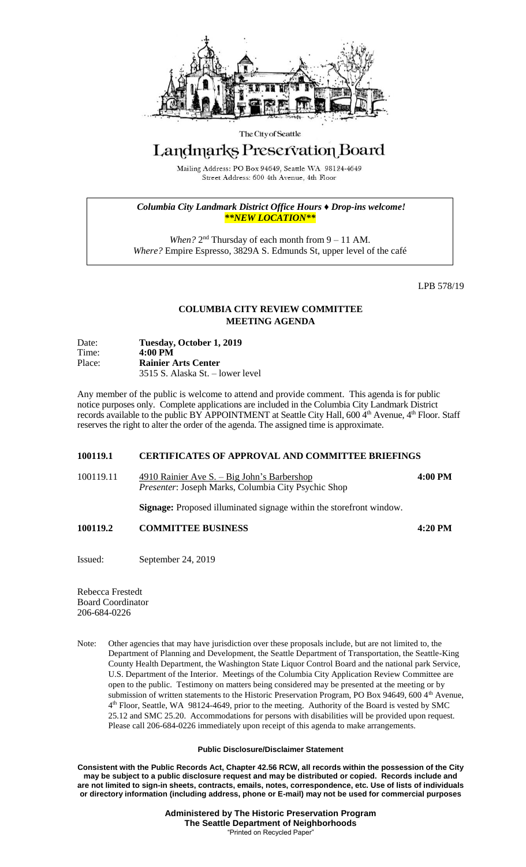

#### The City of Seattle

# Landmarks Preservation Board

Mailing Address: PO Box 94649, Seattle WA 98124-4649 Street Address: 600 4th Avenue, 4th Floor

*Columbia City Landmark District Office Hours ♦ Drop-ins welcome! \*\*NEW LOCATION\*\**

*When?*  $2<sup>nd</sup>$  Thursday of each month from  $9 - 11$  AM. *Where?* Empire Espresso, 3829A S. Edmunds St, upper level of the café

LPB 578/19

## **COLUMBIA CITY REVIEW COMMITTEE MEETING AGENDA**

| Date:<br>Time: | Tuesday, October 1, 2019<br>$4:00 \text{ PM}$ |
|----------------|-----------------------------------------------|
| Place:         | <b>Rainier Arts Center</b>                    |
|                | 3515 S. Alaska St. – lower level              |

Any member of the public is welcome to attend and provide comment. This agenda is for public notice purposes only. Complete applications are included in the Columbia City Landmark District records available to the public BY APPOINTMENT at Seattle City Hall, 600  $4<sup>th</sup>$  Avenue,  $4<sup>th</sup>$  Floor. Staff reserves the right to alter the order of the agenda. The assigned time is approximate.

## **100119.1 CERTIFICATES OF APPROVAL AND COMMITTEE BRIEFINGS**

| 100119.11 | 4910 Rainier Ave S. $-$ Big John's Barbershop              | 4:00 PM |
|-----------|------------------------------------------------------------|---------|
|           | <i>Presenter: Joseph Marks, Columbia City Psychic Shop</i> |         |

**Signage:** Proposed illuminated signage within the storefront window.

### **100119.2 COMMITTEE BUSINESS 4:20 PM**

Issued: September 24, 2019

Rebecca Frestedt Board Coordinator 206-684-0226

Note: Other agencies that may have jurisdiction over these proposals include, but are not limited to, the Department of Planning and Development, the Seattle Department of Transportation, the Seattle-King County Health Department, the Washington State Liquor Control Board and the national park Service, U.S. Department of the Interior. Meetings of the Columbia City Application Review Committee are open to the public. Testimony on matters being considered may be presented at the meeting or by submission of written statements to the Historic Preservation Program, PO Box 94649, 600 4th Avenue, 4 th Floor, Seattle, WA 98124-4649, prior to the meeting. Authority of the Board is vested by SMC 25.12 and SMC 25.20. Accommodations for persons with disabilities will be provided upon request. Please call 206-684-0226 immediately upon receipt of this agenda to make arrangements.

### **Public Disclosure/Disclaimer Statement**

**Consistent with the Public Records Act, Chapter 42.56 RCW, all records within the possession of the City may be subject to a public disclosure request and may be distributed or copied. Records include and are not limited to sign-in sheets, contracts, emails, notes, correspondence, etc. Use of lists of individuals or directory information (including address, phone or E-mail) may not be used for commercial purposes**

> **Administered by The Historic Preservation Program The Seattle Department of Neighborhoods** "Printed on Recycled Paper"